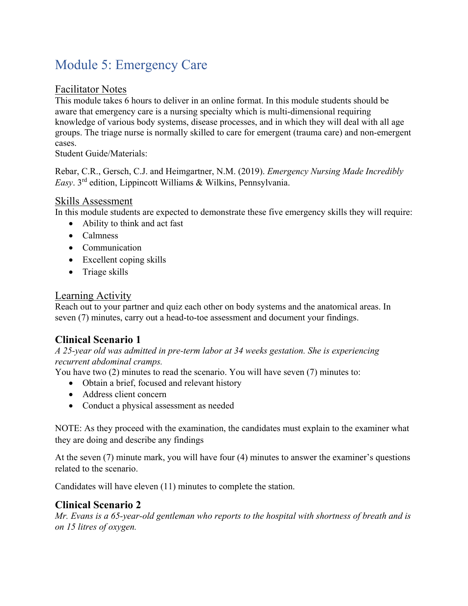# Module 5: Emergency Care

#### Facilitator Notes

This module takes 6 hours to deliver in an online format. In this module students should be aware that emergency care is a nursing specialty which is multi-dimensional requiring knowledge of various body systems, disease processes, and in which they will deal with all age groups. The triage nurse is normally skilled to care for emergent (trauma care) and non-emergent cases.

Student Guide/Materials:

Rebar, C.R., Gersch, C.J. and Heimgartner, N.M. (2019). *Emergency Nursing Made Incredibly Easy*. 3rd edition, Lippincott Williams & Wilkins, Pennsylvania.

### Skills Assessment

In this module students are expected to demonstrate these five emergency skills they will require:

- Ability to think and act fast
- Calmness
- Communication
- Excellent coping skills
- Triage skills

### Learning Activity

Reach out to your partner and quiz each other on body systems and the anatomical areas. In seven (7) minutes, carry out a head-to-toe assessment and document your findings.

## **Clinical Scenario 1**

*A 25-year old was admitted in pre-term labor at 34 weeks gestation. She is experiencing recurrent abdominal cramps.* 

You have two (2) minutes to read the scenario. You will have seven (7) minutes to:

- Obtain a brief, focused and relevant history
- Address client concern
- Conduct a physical assessment as needed

NOTE: As they proceed with the examination, the candidates must explain to the examiner what they are doing and describe any findings

At the seven (7) minute mark, you will have four (4) minutes to answer the examiner's questions related to the scenario.

Candidates will have eleven (11) minutes to complete the station.

#### **Clinical Scenario 2**

*Mr. Evans is a 65-year-old gentleman who reports to the hospital with shortness of breath and is on 15 litres of oxygen.*